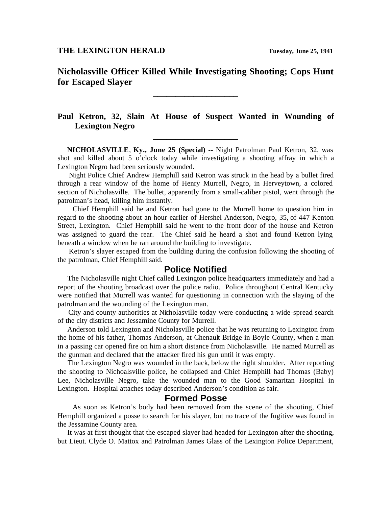**Nicholasville Officer Killed While Investigating Shooting; Cops Hunt for Escaped Slayer**

**\_\_\_\_\_\_\_\_\_\_\_\_\_\_\_\_\_\_\_**

## **Paul Ketron, 32, Slain At House of Suspect Wanted in Wounding of Lexington Negro**

**\_\_\_\_\_\_\_\_\_\_\_\_\_\_\_\_\_\_\_**

 **NICHOLASVILLE**, **Ky., June 25 (Special) --** Night Patrolman Paul Ketron, 32, was shot and killed about 5 o'clock today while investigating a shooting affray in which a Lexington Negro had been seriously wounded.

 Night Police Chief Andrew Hemphill said Ketron was struck in the head by a bullet fired through a rear window of the home of Henry Murrell, Negro, in Herveytown, a colored section of Nicholasville. The bullet, apparently from a small-caliber pistol, went through the patrolman's head, killing him instantly.

 Chief Hemphill said he and Ketron had gone to the Murrell home to question him in regard to the shooting about an hour earlier of Hershel Anderson, Negro, 35, of 447 Kenton Street, Lexington. Chief Hemphill said he went to the front door of the house and Ketron was assigned to guard the rear. The Chief said he heard a shot and found Ketron lying beneath a window when he ran around the building to investigate.

 Ketron's slayer escaped from the building during the confusion following the shooting of the patrolman, Chief Hemphill said.

## **Police Notified**

 The Nicholasville night Chief called Lexington police headquarters immediately and had a report of the shooting broadcast over the police radio. Police throughout Central Kentucky were notified that Murrell was wanted for questioning in connection with the slaying of the patrolman and the wounding of the Lexington man.

 City and county authorities at Nicholasville today were conducting a wide-spread search of the city districts and Jessamine County for Murrell.

 Anderson told Lexington and Nicholasville police that he was returning to Lexington from the home of his father, Thomas Anderson, at Chenault Bridge in Boyle County, when a man in a passing car opened fire on him a short distance from Nicholasville. He named Murrell as the gunman and declared that the attacker fired his gun until it was empty.

 The Lexington Negro was wounded in the back, below the right shoulder. After reporting the shooting to Nichoalsville police, he collapsed and Chief Hemphill had Thomas (Baby) Lee, Nicholasville Negro, take the wounded man to the Good Samaritan Hospital in Lexington. Hospital attaches today described Anderson's condition as fair.

## **Formed Posse**

 As soon as Ketron's body had been removed from the scene of the shooting, Chief Hemphill organized a posse to search for his slayer, but no trace of the fugitive was found in the Jessamine County area.

 It was at first thought that the escaped slayer had headed for Lexington after the shooting, but Lieut. Clyde O. Mattox and Patrolman James Glass of the Lexington Police Department,